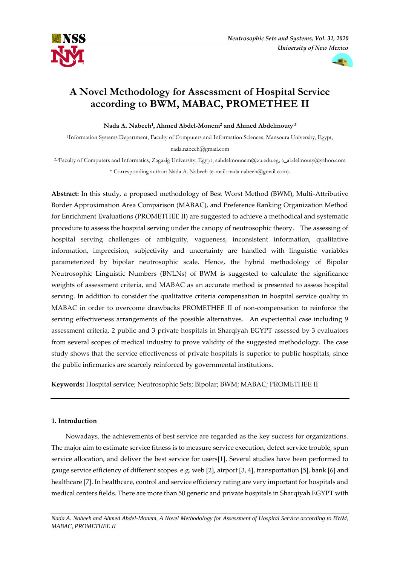



# **A Novel Methodology for Assessment of Hospital Service according to BWM, MABAC, PROMETHEE II**

**Nada A. Nabeeh<sup>1</sup> , Ahmed Abdel-Monem<sup>2</sup> and Ahmed Abdelmouty <sup>3</sup>**

<sup>1</sup>Information Systems Department, Faculty of Computers and Information Sciences, Mansoura University, Egypt, nada.nabeeh@gmail.com

2,3Faculty of Computers and Informatics, Zagazig University, Egypt, aabdelmounem@zu.edu.eg; a\_abdelmouty@yahoo.com \* Corresponding author: Nada A. Nabeeh (e-mail: nada.nabeeh@gmail.com).

**Abstract:** In this study, a proposed methodology of Best Worst Method (BWM), Multi-Attributive Border Approximation Area Comparison (MABAC), and Preference Ranking Organization Method for Enrichment Evaluations (PROMETHEE II) are suggested to achieve a methodical and systematic procedure to assess the hospital serving under the canopy of neutrosophic theory. The assessing of hospital serving challenges of ambiguity, vagueness, inconsistent information, qualitative information, imprecision, subjectivity and uncertainty are handled with linguistic variables parameterized by bipolar neutrosophic scale. Hence, the hybrid methodology of Bipolar Neutrosophic Linguistic Numbers (BNLNs) of BWM is suggested to calculate the significance weights of assessment criteria, and MABAC as an accurate method is presented to assess hospital serving. In addition to consider the qualitative criteria compensation in hospital service quality in MABAC in order to overcome drawbacks PROMETHEE II of non-compensation to reinforce the serving effectiveness arrangements of the possible alternatives. An experiential case including 9 assessment criteria, 2 public and 3 private hospitals in Sharqiyah EGYPT assessed by 3 evaluators from several scopes of medical industry to prove validity of the suggested methodology. The case study shows that the service effectiveness of private hospitals is superior to public hospitals, since the public infirmaries are scarcely reinforced by governmental institutions.

**Keywords:** Hospital service; Neutrosophic Sets; Bipolar; BWM; MABAC; PROMETHEE II

# **1. Introduction**

Nowadays, the achievements of best service are regarded as the key success for organizations. The major aim to estimate service fitness is to measure service execution, detect service trouble, spun service allocation, and deliver the best service for users[1]. Several studies have been performed to gauge service efficiency of different scopes. e.g. web [2], airport [3, 4], transportation [5], bank [6] and healthcare [7]. In healthcare, control and service efficiency rating are very important for hospitals and medical centers fields. There are more than 50 generic and private hospitals in Sharqiyah EGYPT with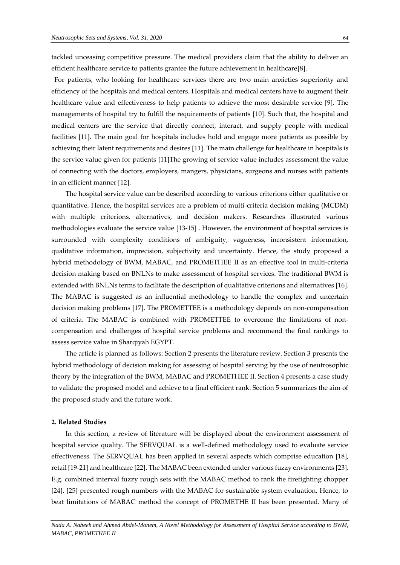tackled unceasing competitive pressure. The medical providers claim that the ability to deliver an efficient healthcare service to patients grantee the future achievement in healthcare[8].

For patients, who looking for healthcare services there are two main anxieties superiority and efficiency of the hospitals and medical centers. Hospitals and medical centers have to augment their healthcare value and effectiveness to help patients to achieve the most desirable service [9]. The managements of hospital try to fulfill the requirements of patients [10]. Such that, the hospital and medical centers are the service that directly connect, interact, and supply people with medical facilities [11]. The main goal for hospitals includes hold and engage more patients as possible by achieving their latent requirements and desires [11]. The main challenge for healthcare in hospitals is the service value given for patients [11]The growing of service value includes assessment the value of connecting with the doctors, employers, mangers, physicians, surgeons and nurses with patients in an efficient manner [12].

The hospital service value can be described according to various criterions either qualitative or quantitative. Hence, the hospital services are a problem of multi-criteria decision making (MCDM) with multiple criterions, alternatives, and decision makers. Researches illustrated various methodologies evaluate the service value [13-15] . However, the environment of hospital services is surrounded with complexity conditions of ambiguity, vagueness, inconsistent information, qualitative information, imprecision, subjectivity and uncertainty. Hence, the study proposed a hybrid methodology of BWM, MABAC, and PROMETHEE II as an effective tool in multi-criteria decision making based on BNLNs to make assessment of hospital services. The traditional BWM is extended with BNLNs terms to facilitate the description of qualitative criterions and alternatives [16]. The MABAC is suggested as an influential methodology to handle the complex and uncertain decision making problems [17]. The PROMETTEE is a methodology depends on non-compensation of criteria. The MABAC is combined with PROMETTEE to overcome the limitations of noncompensation and challenges of hospital service problems and recommend the final rankings to assess service value in Sharqiyah EGYPT.

The article is planned as follows: Section 2 presents the literature review. Section 3 presents the hybrid methodology of decision making for assessing of hospital serving by the use of neutrosophic theory by the integration of the BWM, MABAC and PROMETHEE II. Section 4 presents a case study to validate the proposed model and achieve to a final efficient rank. Section 5 summarizes the aim of the proposed study and the future work.

#### **2. Related Studies**

In this section, a review of literature will be displayed about the environment assessment of hospital service quality. The SERVQUAL is a well-defined methodology used to evaluate service effectiveness. The SERVQUAL has been applied in several aspects which comprise education [18], retail [19-21] and healthcare [22]. The MABAC been extended under various fuzzy environments [23]. E.g. combined interval fuzzy rough sets with the MABAC method to rank the firefighting chopper [24]. [25] presented rough numbers with the MABAC for sustainable system evaluation. Hence, to beat limitations of MABAC method the concept of PROMETHE II has been presented. Many of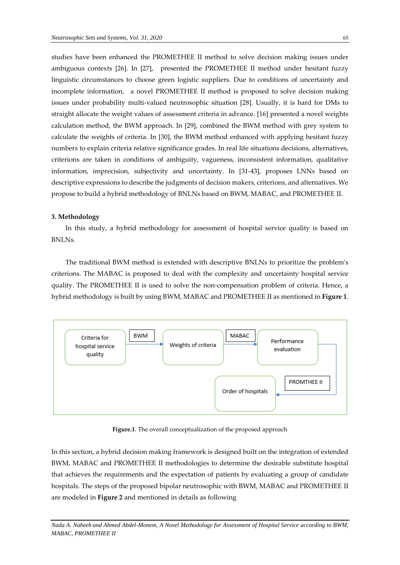studies have been enhanced the PROMETHEE II method to solve decision making issues under ambiguous contexts [26]. In [27], presented the PROMETHEE II method under hesitant fuzzy linguistic circumstances to choose green logistic suppliers. Due to conditions of uncertainty and incomplete information, a novel PROMETHEE II method is proposed to solve decision making issues under probability multi-valued neutrosophic situation [28]. Usually, it is hard for DMs to straight allocate the weight values of assessment criteria in advance. [16] presented a novel weights calculation method, the BWM approach. In [29], combined the BWM method with grey system to calculate the weights of criteria. In [30], the BWM method enhanced with applying hesitant fuzzy numbers to explain criteria relative significance grades. In real life situations decisions, alternatives, criterions are taken in conditions of ambiguity, vagueness, inconsistent information, qualitative information, imprecision, subjectivity and uncertainty. In [31-43], proposes LNNs based on descriptive expressions to describe the judgments of decision makers, criterions, and alternatives. We propose to build a hybrid methodology of BNLNs based on BWM, MABAC, and PROMETHEE II.

# **3. Methodology**

In this study, a hybrid methodology for assessment of hospital service quality is based on BNLNs.

The traditional BWM method is extended with descriptive BNLNs to prioritize the problem's criterions. The MABAC is proposed to deal with the complexity and uncertainty hospital service quality. The PROMETHEE II is used to solve the non-compensation problem of criteria. Hence, a hybrid methodology is built by using BWM, MABAC and PROMETHEE II as mentioned in **Figure 1**.



**Figure.1**. The overall conceptualization of the proposed approach

In this section, a hybrid decision making framework is designed built on the integration of extended BWM, MABAC and PROMETHEE II methodologies to determine the desirable substitute hospital that achieves the requirements and the expectation of patients by evaluating a group of candidate hospitals. The steps of the proposed bipolar neutrosophic with BWM, MABAC and PROMETHEE II are modeled in **Figure 2** and mentioned in details as following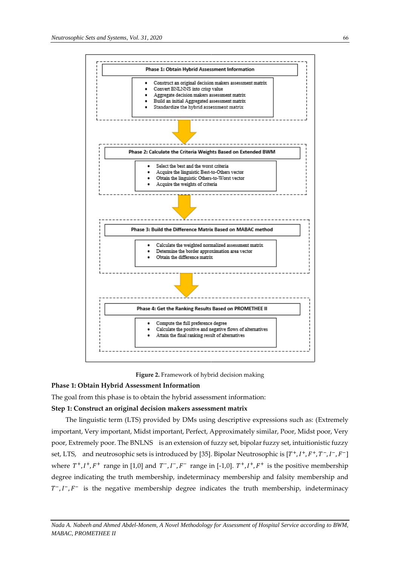



**Figure 2.** Framework of hybrid decision making

# **Phase 1: Obtain Hybrid Assessment Information**

The goal from this phase is to obtain the hybrid assessment information:

# **Step 1: Construct an original decision makers assessment matrix**

The linguistic term (LTS) provided by DMs using descriptive expressions such as: (Extremely important, Very important, Midst important, Perfect, Approximately similar, Poor, Midst poor, Very poor, Extremely poor. The BNLNS is an extension of fuzzy set, bipolar fuzzy set, intuitionistic fuzzy set, LTS, and neutrosophic sets is introduced by [35]. Bipolar Neutrosophic is  $[T^+, I^+, F^+, T^-, I^-, F^-]$ where  $T^+, I^+, F^+$  range in [1,0] and  $T^-, I^-, F^-$  range in [-1,0].  $T^+, I^+, F^+$  is the positive membership degree indicating the truth membership, indeterminacy membership and falsity membership and  $T^-, I^-, F^-$  is the negative membership degree indicates the truth membership, indeterminacy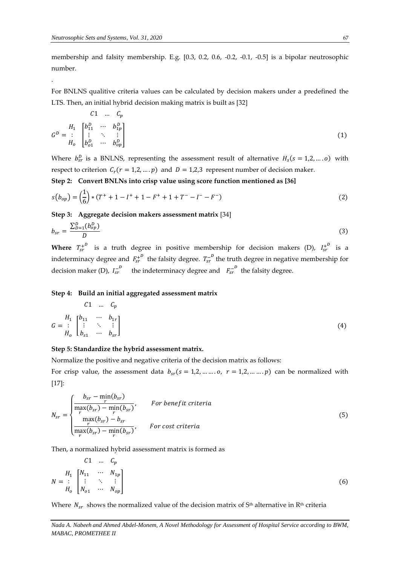.

membership and falsity membership. E.g. [0.3, 0.2, 0.6, -0.2, -0.1, -0.5] is a bipolar neutrosophic number.

For BNLNS qualitive criteria values can be calculated by decision makers under a predefined the LTS. Then, an initial hybrid decision making matrix is built as [32]

$$
C1 \t Cp
$$
  
\n
$$
GD = \begin{bmatrix} H_1 & h_1^D & \cdots & h_{1p}^D \\ \vdots & \ddots & \vdots \\ h_o & h_{o1}^D & \cdots & h_{op}^D \end{bmatrix}
$$
\n(1)

Where  $b_{sr}^D$  is a BNLNS, representing the assessment result of alternative  $H_s(s = 1, 2, \dots, o)$  with respect to criterion  $C_r(r = 1,2,...,p)$  and  $D = 1,2,3$  represent number of decision maker.

**Step 2: Convert BNLNs into crisp value using score function mentioned as [36]**

$$
s(b_{op}) = \left(\frac{1}{6}\right) * (T^+ + 1 - I^+ + 1 - F^+ + 1 + T^- - I^- - F^-)
$$
\n(2)

**Step 3: Aggregate decision makers assessment matrix** [34]

$$
b_{sr} = \frac{\sum_{D=1}^{D} (b_{op}^D)}{D} \tag{3}
$$

**Where**  $T_{sr}^{+^D}$  is a truth degree in positive membership for decision makers (D),  $I_{sr}^{+^D}$  is a indeterminacy degree and  $\mathit{F_{sr}^{+}}^p$  the falsity degree.  $\mathit{T_{sr}^{-}}^p$  the truth degree in negative membership for decision maker (D),  $I_{sr}^{-D}$  the indeterminacy degree and  $F_{sr}^{-D}$  the falsity degree.

#### **Step 4: Build an initial aggregated assessment matrix**

$$
G = \begin{bmatrix} H_1 & h_{11} & \cdots & h_{1r} \\ \vdots & \ddots & \vdots \\ H_0 & h_{s1} & \cdots & h_{sr} \end{bmatrix}
$$
 (4)

# **Step 5: Standardize the hybrid assessment matrix.**

Normalize the positive and negative criteria of the decision matrix as follows:

For crisp value, the assessment data  $b_{sr}(s = 1,2, \dots, 0, r = 1,2, \dots, p)$  can be normalized with [17]:

$$
N_{sr} = \begin{cases} \frac{b_{sr} - \min(b_{sr})}{r} & \text{For benefit criteria} \\ \frac{max(b_{sr}) - \min(b_{sr})}{r} & \text{for benefit criteria} \\ \frac{max(b_{sr}) - b_{sr}}{r} & \text{For cost criteria} \end{cases}
$$
(5)

Then, a normalized hybrid assessment matrix is formed as

C1 ... 
$$
C_p
$$
  
\n
$$
N = \begin{bmatrix} H_1 & W_{11} & \cdots & W_{1p} \\ \vdots & \ddots & \vdots \\ H_o & W_{o1} & \cdots & W_{op} \end{bmatrix}
$$
\n(6)

Where  $N_{sr}$  shows the normalized value of the decision matrix of S<sup>th</sup> alternative in R<sup>th</sup> criteria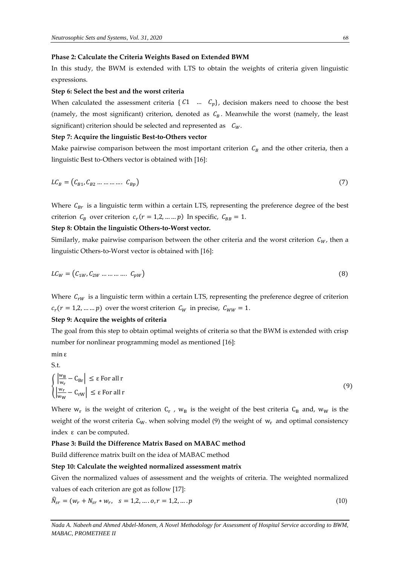#### **Phase 2: Calculate the Criteria Weights Based on Extended BWM**

In this study, the BWM is extended with LTS to obtain the weights of criteria given linguistic expressions.

#### **Step 6: Select the best and the worst criteria**

When calculated the assessment criteria { $C_1$  …  $C_p$ }, decision makers need to choose the best (namely, the most significant) criterion, denoted as  $C_B$ . Meanwhile the worst (namely, the least significant) criterion should be selected and represented as  $C_W$ .

#### **Step 7: Acquire the linguistic Best-to-Others vector**

Make pairwise comparison between the most important criterion  $C_B$  and the other criteria, then a linguistic Best to-Others vector is obtained with [16]:

$$
LC_B = (C_{B1}, C_{B2} \dots \dots \dots \dots C_{Bp})
$$
\n
$$
(7)
$$

Where  $C_{Br}$  is a linguistic term within a certain LTS, representing the preference degree of the best criterion  $C_B$  over criterion  $c_r$  ( $r = 1, 2, ..., p$ ) In specific,  $C_{BB} = 1$ .

# **Step 8: Obtain the linguistic Others-to-Worst vector.**

Similarly, make pairwise comparison between the other criteria and the worst criterion  $C_W$ , then a linguistic Others-to-Worst vector is obtained with [16]:

$$
LC_W = (C_{1W}, C_{2W} \dots \dots \dots \dots C_{pW})
$$
\n
$$
(8)
$$

Where  $C_{rw}$  is a linguistic term within a certain LTS, representing the preference degree of criterion  $c_r(r = 1, 2, ..., p)$  over the worst criterion  $C_W$  in precise,  $C_{WW} = 1$ .

# **Step 9: Acquire the weights of criteria**

The goal from this step to obtain optimal weights of criteria so that the BWM is extended with crisp number for nonlinear programming model as mentioned [16]:

min ε S.t.

$$
\begin{cases} \left| \frac{w_B}{w_r} - C_{Br} \right| \leq \varepsilon \text{ For all r} \\ \left| \frac{w_r}{w_W} - C_{rw} \right| \leq \varepsilon \text{ For all r} \end{cases}
$$
 (9)

Where  $w_r$  is the weight of criterion  $C_r$  ,  $w_B$  is the weight of the best criteria  $C_B$  and,  $w_W$  is the weight of the worst criteria  $C_W$ . when solving model (9) the weight of  $w_r$  and optimal consistency index ε can be computed.

#### **Phase 3: Build the Difference Matrix Based on MABAC method**

Build difference matrix built on the idea of MABAC method

# **Step 10: Calculate the weighted normalized assessment matrix**

Given the normalized values of assessment and the weights of criteria. The weighted normalized values of each criterion are got as follow [17]:

$$
\widehat{N}_{sr} = (w_r + N_{sr} * w_r, \quad s = 1, 2, \dots, o, r = 1, 2, \dots, p
$$
\n(10)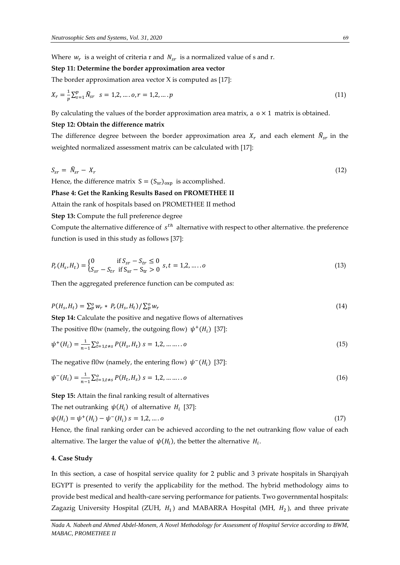Where  $w_r$  is a weight of criteria r and  $N_{sr}$  is a normalized value of s and r.

#### **Step 11: Determine the border approximation area vector**

The border approximation area vector  $X$  is computed as [17]:

$$
X_r = \frac{1}{p} \sum_{s=1}^p \widehat{N}_{sr} \quad s = 1, 2, \dots, o, r = 1, 2, \dots, p \tag{11}
$$

By calculating the values of the border approximation area matrix, a  $\alpha \times 1$  matrix is obtained.

#### **Step 12: Obtain the difference matrix**

The difference degree between the border approximation area  $X_r$  and each element  $\hat{N}_{sr}$  in the weighted normalized assessment matrix can be calculated with [17]:

$$
S_{sr} = \bar{N}_{sr} - X_r \tag{12}
$$

Hence, the difference matrix  $S = (S_{sr})_{\text{oxp}}$  is accomplished.

#### **Phase 4: Get the Ranking Results Based on PROMETHEE II**

Attain the rank of hospitals based on PROMETHEE II method

#### **Step 13:** Compute the full preference degree

Compute the alternative difference of  $s^{th}$  alternative with respect to other alternative. the preference function is used in this study as follows [37]:

$$
P_r(H_s, H_t) = \begin{cases} 0 & \text{if } S_{sr} - S_{tr} \le 0 \\ S_{sr} - S_{tr} & \text{if } S_{sr} - S_{tr} > 0 \end{cases} s, t = 1, 2, \dots, o
$$
 (13)

Then the aggregated preference function can be computed as:

$$
P(H_s, H_t) = \sum_{p}^{\infty} w_r * P_r(H_s, H_t) / \sum_{p}^{\infty} w_r
$$
\n(14)

**Step 14:** Calculate the positive and negative flows of alternatives The positive fl0w (namely, the outgoing flow)  $\psi^+(H_i)$  [37]:

$$
\psi^+(H_i) = \frac{1}{n-1} \sum_{t=1, t \neq s}^0 P(H_s, H_t) \ s = 1, 2, \dots \dots \dots \dots \tag{15}
$$

The negative fl0w (namely, the entering flow)  $\psi^-(H_i)$  [37]:

$$
\psi^{-}(H_i) = \frac{1}{n-1} \sum_{t=1, t \neq s}^{0} P(H_t, H_s) \ s = 1, 2, \dots \dots \dots \dots \tag{16}
$$

**Step 15:** Attain the final ranking result of alternatives

The net outranking 
$$
\psi(H_i)
$$
 of alternative  $H_i$  [37]:  
\n $\psi(H_i) = \psi^+(H_i) - \psi^-(H_i)$  s = 1,2,....o (17)

Hence, the final ranking order can be achieved according to the net outranking flow value of each alternative. The larger the value of  $\,\psi(H_{i})$ , the better the alternative  $\,H_{i}.$ 

# **4. Case Study**

In this section, a case of hospital service quality for 2 public and 3 private hospitals in Sharqiyah EGYPT is presented to verify the applicability for the method. The hybrid methodology aims to provide best medical and health-care serving performance for patients. Two governmental hospitals: Zagazig University Hospital (ZUH,  $H_1$ ) and MABARRA Hospital (MH,  $H_2$ ), and three private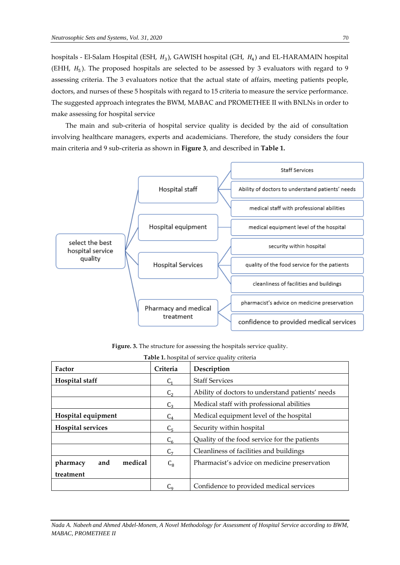hospitals - El-Salam Hospital (ESH,  $H_3$ ), GAWISH hospital (GH,  $H_4$ ) and EL-HARAMAIN hospital (EHH,  $H_5$ ). The proposed hospitals are selected to be assessed by 3 evaluators with regard to 9 assessing criteria. The 3 evaluators notice that the actual state of affairs, meeting patients people, doctors, and nurses of these 5 hospitals with regard to 15 criteria to measure the service performance. The suggested approach integrates the BWM, MABAC and PROMETHEE II with BNLNs in order to make assessing for hospital service

The main and sub-criteria of hospital service quality is decided by the aid of consultation involving healthcare managers, experts and academicians. Therefore, the study considers the four main criteria and 9 sub-criteria as shown in **Figure 3**, and described in **Table 1.**



**Figure. 3.** The structure for assessing the hospitals service quality.

| Factor                     | Criteria                                           | <b>Table 1.</b> Hospital of service quality criteria<br>Description |  |  |  |  |  |
|----------------------------|----------------------------------------------------|---------------------------------------------------------------------|--|--|--|--|--|
| Hospital staff             | C <sub>1</sub>                                     | <b>Staff Services</b>                                               |  |  |  |  |  |
|                            | C <sub>2</sub>                                     | Ability of doctors to understand patients' needs                    |  |  |  |  |  |
|                            | Medical staff with professional abilities<br>$C_3$ |                                                                     |  |  |  |  |  |
| Hospital equipment         | $C_4$                                              | Medical equipment level of the hospital                             |  |  |  |  |  |
| <b>Hospital services</b>   | C <sub>5</sub>                                     | Security within hospital                                            |  |  |  |  |  |
|                            | $C_6$                                              | Quality of the food service for the patients                        |  |  |  |  |  |
|                            | C <sub>7</sub>                                     | Cleanliness of facilities and buildings                             |  |  |  |  |  |
| medical<br>and<br>pharmacy | $C_8$                                              | Pharmacist's advice on medicine preservation                        |  |  |  |  |  |
| treatment                  |                                                    |                                                                     |  |  |  |  |  |
|                            | $C_{9}$                                            | Confidence to provided medical services                             |  |  |  |  |  |

**Table 1.** hospital of service quality criteria

*Nada A. Nabeeh and Ahmed Abdel-Monem, A Novel Methodology for Assessment of Hospital Service according to BWM, MABAC, PROMETHEE II*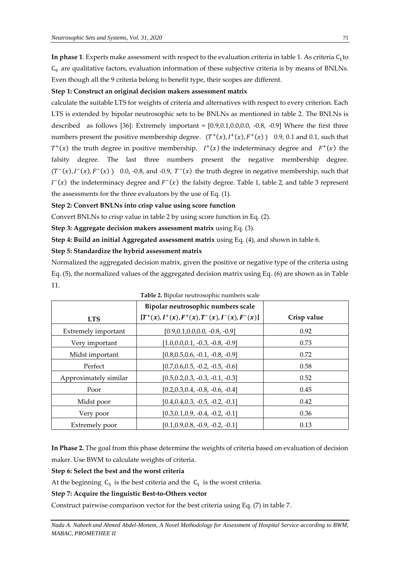In phase 1. Experts make assessment with respect to the evaluation criteria in table 1. As criteria  $\textsf{C}_\textup{1}$ to  $C_9$  are qualitative factors, evaluation information of these subjective criteria is by means of BNLNs. Even though all the 9 criteria belong to benefit type, their scopes are different.

#### **Step 1: Construct an original decision makers assessment matrix**

calculate the suitable LTS for weights of criteria and alternatives with respect to every criterion. Each LTS is extended by bipolar neutrosophic sets to be BNLNs as mentioned in table 2. The BNLNs is described as follows [36]: Extremely important =  $[0.9,0.1,0.0,0.0,0.0,0.8,0.0]$  Where the first three numbers present the positive membership degree.  $(T^+(x), I^+(x), F^+(x))$  0.9, 0.1 and 0.1, such that  $T^+(x)$  the truth degree in positive membership.  $I^+(x)$  the indeterminacy degree and  $F^+(x)$  the falsity degree. The last three numbers present the negative membership degree.  $(T^-(x), I^-(x), F^-(x))$  0.0, -0.8, and -0.9,  $T^-(x)$  the truth degree in negative membership, such that  $I^-(x)$  the indeterminacy degree and  $F^-(x)$  the falsity degree. Table 1, table 2, and table 3 represent the assessments for the three evaluators by the use of Eq. (1).

**Step 2: Convert BNLNs into crisp value using score function**

Convert BNLNs to crisp value in table 2 by using score function in Eq. (2).

**Step 3: Aggregate decision makers assessment matrix** using Eq. (3).

**Step 4: Build an initial Aggregated assessment matrix** using Eq. (4), and shown in table 6.

#### **Step 5: Standardize the hybrid assessment matrix**

Normalized the aggregated decision matrix, given the positive or negative type of the criteria using Eq. (5), the normalized values of the aggregated decision matrix using Eq. (6) are shown as in Table 11.

|                       | Bipolar neutrosophic numbers scale                 |             |
|-----------------------|----------------------------------------------------|-------------|
| <b>LTS</b>            | $[T^+(x), I^+(x), F^+(x), T^-(x), I^-(x), F^-(x)]$ | Crisp value |
| Extremely important   | $[0.9, 0.1, 0.0, 0.0, -0.8, -0.9]$                 | 0.92        |
| Very important        | $[1.0, 0.0, 0.1, -0.3, -0.8, -0.9]$                | 0.73        |
| Midst important       | $[0.8, 0.5, 0.6, -0.1, -0.8, -0.9]$                | 0.72        |
| Perfect               | $[0.7, 0.6, 0.5, -0.2, -0.5, -0.6]$                | 0.58        |
| Approximately similar | $[0.5, 0.2, 0.3, -0.3, -0.1, -0.3]$                | 0.52        |
| Poor                  | $[0.2, 0.3, 0.4, -0.8, -0.6, -0.4]$                | 0.45        |
| Midst poor            | $[0.4, 0.4, 0.3, -0.5, -0.2, -0.1]$                | 0.42        |
| Very poor             | $[0.3, 0.1, 0.9, -0.4, -0.2, -0.1]$                | 0.36        |
| Extremely poor        | $[0.1, 0.9, 0.8, -0.9, -0.2, -0.1]$                | 0.13        |

**Table 2.** Bipolar neutrosophic numbers scale

**In Phase 2.** The goal from this phase determine the weights of criteria based on evaluation of decision maker. Use BWM to calculate weights of criteria.

**Step 6: Select the best and the worst criteria** 

At the beginning  $C_3$  is the best criteria and the  $C_1$  is the worst criteria.

#### **Step 7: Acquire the linguistic Best-to-Others vector**

Construct pairwise comparison vector for the best criteria using Eq. (7) in table 7.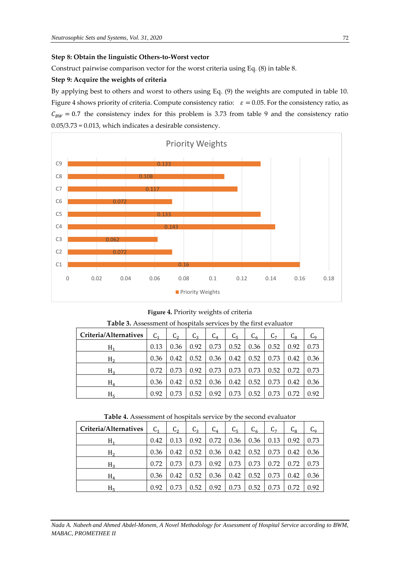# **Step 8: Obtain the linguistic Others-to-Worst vector**

Construct pairwise comparison vector for the worst criteria using Eq. (8) in table 8.

# **Step 9: Acquire the weights of criteria**

By applying best to others and worst to others using Eq. (9) the weights are computed in table 10. Figure 4 shows priority of criteria. Compute consistency ratio:  $\varepsilon = 0.05$ . For the consistency ratio, as  $C_{BW} = 0.7$  the consistency index for this problem is 3.73 from table 9 and the consistency ratio 0.05/3.73 = 0.013, which indicates a desirable consistency.



**Figure 4.** Priority weights of criteria

| Criteria/Alternatives | C <sub>1</sub> | C <sub>2</sub> | $C_3$ | $C_4$ | $C_5$ | $C_6$ | C <sub>7</sub> | $C_{8}$ | $C_{9}$ |
|-----------------------|----------------|----------------|-------|-------|-------|-------|----------------|---------|---------|
| $H_1$                 | 0.13           | 0.36           | 0.92  | 0.73  | 0.52  | 0.36  | 0.52           | 0.92    | 0.73    |
| H <sub>2</sub>        | 0.36           | 0.42           | 0.52  | 0.36  | 0.42  | 0.52  | 0.73           | 0.42    | 0.36    |
| $H_3$                 | 0.72           | 0.73           | 0.92  | 0.73  | 0.73  | 0.73  | 0.52           | 0.72    | 0.73    |
| $H_4$                 | 0.36           | 0.42           | 0.52  | 0.36  | 0.42  | 0.52  | 0.73           | 0.42    | 0.36    |
| H <sub>5</sub>        | 0.92           | 0.73           | 0.52  | 0.92  | 0.73  | 0.52  | 0.73           | 0.72    | 0.92    |

**Table 3.** Assessment of hospitals services by the first evaluator

**Table 4.** Assessment of hospitals service by the second evaluator

| Criteria/Alternatives | C <sub>1</sub> | $C_{2}$ | $C_3$ | $C_4$ | C <sub>5</sub> | $C_6$ | C <sub>7</sub> | $C_{8}$ | $C_{9}$ |
|-----------------------|----------------|---------|-------|-------|----------------|-------|----------------|---------|---------|
| $H_1$                 | 0.42           | 0.13    | 0.92  | 0.72  | 0.36           | 0.36  | 0.13           | 0.92    | 0.73    |
| H <sub>2</sub>        | 0.36           | 0.42    | 0.52  | 0.36  | 0.42           | 0.52  | 0.73           | 0.42    | 0.36    |
| $H_3$                 | 0.72           | 0.73    | 0.73  | 0.92  | 0.73           | 0.73  | 0.72           | 0.72    | 0.73    |
| $H_4$                 | 0.36           | 0.42    | 0.52  | 0.36  | 0.42           | 0.52  | 0.73           | 0.42    | 0.36    |
| $H_5$                 | 0.92           | 0.73    | 0.52  | 0.92  | 0.73           | 0.52  | 0.73           | 0.72    | 0.92    |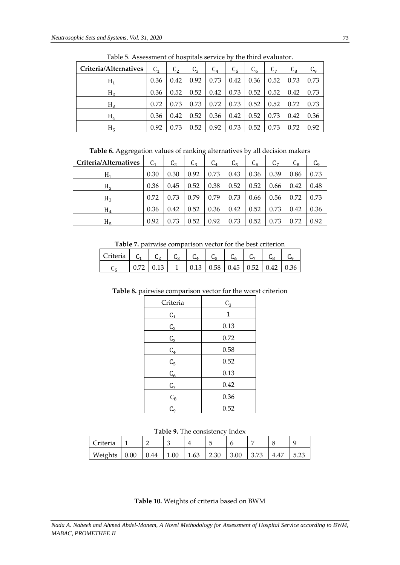| Criteria/Alternatives | C <sub>1</sub> | C <sub>2</sub> | $C_3$ | $C_4$ | $C_{5}$ | $C_6$ | $C_{7}$ | $C_8$ | $C_{\mathsf{q}}$ |
|-----------------------|----------------|----------------|-------|-------|---------|-------|---------|-------|------------------|
| $H_1$                 | 0.36           | 0.42           | 0.92  | 0.73  | 0.42    | 0.36  | 0.52    | 0.73  | 0.73             |
| H <sub>2</sub>        | 0.36           | 0.52           | 0.52  | 0.42  | 0.73    | 0.52  | 0.52    | 0.42  | 0.73             |
| $H_3$                 | 0.72           | 0.73           | 0.73  | 0.72  | 0.73    | 0.52  | 0.52    | 0.72  | 0.73             |
| $H_4$                 | 0.36           | 0.42           | 0.52  | 0.36  | 0.42    | 0.52  | 0.73    | 0.42  | 0.36             |
| H <sub>5</sub>        | 0.92           | 0.73           | 0.52  | 0.92  | 0.73    | 0.52  | 0.73    | 0.72  | 0.92             |

Table 5. Assessment of hospitals service by the third evaluator.

**Table 6.** Aggregation values of ranking alternatives by all decision makers

| Criteria/Alternatives | C <sub>1</sub> | C <sub>2</sub> | C <sub>3</sub> | $C_4$ | $C_{\varsigma}$ | $C_6$ | $C_{7}$ | Նջ   | u۵   |
|-----------------------|----------------|----------------|----------------|-------|-----------------|-------|---------|------|------|
| Н,                    | 0.30           | 0.30           | 0.92           | 0.73  | 0.43            | 0.36  | 0.39    | 0.86 | 0.73 |
| H <sub>2</sub>        | 0.36           | 0.45           | 0.52           | 0.38  | 0.52            | 0.52  | 0.66    | 0.42 | 0.48 |
| $H_3$                 | 0.72           | 0.73           | 0.79           | 0.79  | 0.73            | 0.66  | 0.56    | 0.72 | 0.73 |
| $H_4$                 | 0.36           | 0.42           | 0.52           | 0.36  | 0.42            | 0.52  | 0.73    | 0.42 | 0.36 |
| $H_{\epsilon}$        | 0.92           | 0.73           | 0.52           | 0.92  | 0.73            | 0.52  | 0.73    | 0.72 | 0.92 |

**Table 7.** pairwise comparison vector for the best criterion

| Criteria $C_1$ |                                                                                                   | $C_2 \cup C_2$ |  |  |  |
|----------------|---------------------------------------------------------------------------------------------------|----------------|--|--|--|
|                | $\vert 0.72 \vert 0.13 \vert 1 \vert 0.13 \vert 0.58 \vert 0.45 \vert 0.52 \vert 0.42 \vert 0.36$ |                |  |  |  |

| Table 8. pairwise comparison vector for the worst criterion |  |  |
|-------------------------------------------------------------|--|--|
|-------------------------------------------------------------|--|--|

| Criteria       | $C_3$ |
|----------------|-------|
| $C_1$          | 1     |
| C <sub>2</sub> | 0.13  |
| $C_3$          | 0.72  |
| $C_4$          | 0.58  |
| C <sub>5</sub> | 0.52  |
| $C_6$          | 0.13  |
| $C_7$          | 0.42  |
| $C_8$          | 0.36  |
| $C_{9}$        | 0.52  |
|                |       |

| Criteria |      |      |      |      |      | n    |      |      |
|----------|------|------|------|------|------|------|------|------|
| Weights  | 0.00 | 0.44 | 1.00 | 1.63 | 2.30 | 3.00 | 4.47 | 5.23 |

**Table 10.** Weights of criteria based on BWM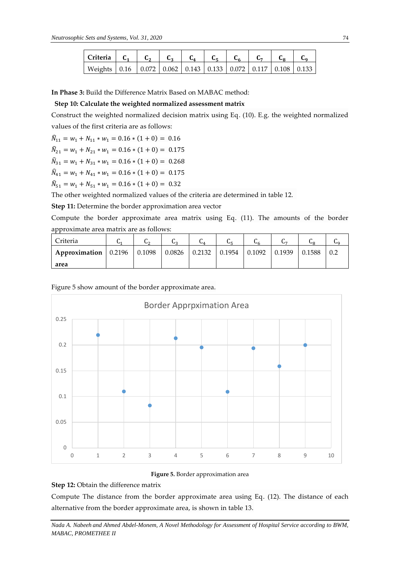| $ $ Criteria $ $ C <sub>1</sub> $ $ $ $                                        |  |  |  |  |  |
|--------------------------------------------------------------------------------|--|--|--|--|--|
| Weights   0.16   0.072   0.062   0.143   0.133   0.072   0.117   0.108   0.133 |  |  |  |  |  |

**In Phase 3:** Build the Difference Matrix Based on MABAC method:

# **Step 10: Calculate the weighted normalized assessment matrix**

Construct the weighted normalized decision matrix using Eq. (10). E.g. the weighted normalized values of the first criteria are as follows:

$$
\widehat{N}_{11} = w_1 + N_{11} * w_1 = 0.16 * (1 + 0) = 0.16
$$

$$
\hat{N}_{21} = w_1 + N_{21} * w_1 = 0.16 * (1 + 0) = 0.175
$$

$$
\widehat{N}_{31} = w_1 + N_{31} * w_1 = 0.16 * (1 + 0) = 0.268
$$

$$
\widehat{N}_{41} = w_1 + N_{41} * w_1 = 0.16 * (1 + 0) = 0.175
$$

$$
\widehat{N}_{51} = w_1 + N_{51} * w_1 = 0.16 * (1 + 0) = 0.32
$$

The other weighted normalized values of the criteria are determined in table 12.

**Step 11:** Determine the border approximation area vector

Compute the border approximate area matrix using Eq. (11). The amounts of the border approximate area matrix are as follows:

| Criteria                                                                     | v |  | Ч4. |  | UΩ     |  |
|------------------------------------------------------------------------------|---|--|-----|--|--------|--|
| Approximation   0.2196   0.1098   0.0826   0.2132   0.1954   0.1092   0.1939 |   |  |     |  | 0.1588 |  |
| area                                                                         |   |  |     |  |        |  |

# Figure 5 show amount of the border approximate area.



**Figure 5.** Border approximation area

# **Step 12:** Obtain the difference matrix

Compute The distance from the border approximate area using Eq. (12). The distance of each alternative from the border approximate area, is shown in table 13.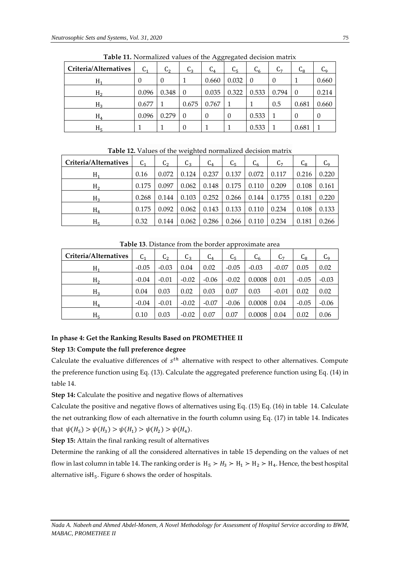| Criteria/Alternatives | C <sub>1</sub> | $\mathsf{C}_2$   | U2       | <u>UU</u><br>U4 | <u>U</u><br>Նշ | Ն <sub>հ</sub> | U7    | ບຊ             | Uq       |
|-----------------------|----------------|------------------|----------|-----------------|----------------|----------------|-------|----------------|----------|
| H <sub>1</sub>        | 0              | $\boldsymbol{0}$ |          | 0.660           | 0.032          | $\theta$       | 0     |                | 0.660    |
| H <sub>2</sub>        | 0.096          | 0.348            | $\theta$ | 0.035           | 0.322          | 0.533          | 0.794 | $\overline{0}$ | 0.214    |
| $H_3$                 | 0.677          |                  | 0.675    | 0.767           |                |                | 0.5   | 0.681          | 0.660    |
| $H_4$                 | 0.096          | 0.279            | 0        | $\theta$        | $\theta$       | 0.533          |       | $\Omega$       | $\theta$ |
| $H_5$                 |                |                  | 0        |                 |                | 0.533          |       | 0.681          |          |

**Table 11.** Normalized values of the Aggregated decision matrix

**Table 12.** Values of the weighted normalized decision matrix

| Criteria/Alternatives | C <sub>1</sub> | $C_{2}$ | $C_3$ | $C_4$ | $C_{5}$ | $C_6$ | C,     | <b>L</b> <sub>R</sub> | $C_{9}$ |
|-----------------------|----------------|---------|-------|-------|---------|-------|--------|-----------------------|---------|
| $H_1$                 | 0.16           | 0.072   | 0.124 | 0.237 | 0.137   | 0.072 | 0.117  | 0.216                 | 0.220   |
| H <sub>2</sub>        | 0.175          | 0.097   | 0.062 | 0.148 | 0.175   | 0.110 | 0.209  | 0.108                 | 0.161   |
| $H_3$                 | 0.268          | 0.144   | 0.103 | 0.252 | 0.266   | 0.144 | 0.1755 | 0.181                 | 0.220   |
| $H_4$                 | 0.175          | 0.092   | 0.062 | 0.143 | 0.133   | 0.110 | 0.234  | 0.108                 | 0.133   |
| H <sub>5</sub>        | 0.32           | 0.144   | 0.062 | 0.286 | 0.266   | 0.110 | 0.234  | 0.181                 | 0.266   |

| Criteria/Alternatives | C <sub>1</sub> | C <sub>2</sub> | $C_3$   | $C_4$   | C <sub>5</sub> | $C_6$   | $\mathsf{C}_7$ | $C_{8}$ | Сq      |
|-----------------------|----------------|----------------|---------|---------|----------------|---------|----------------|---------|---------|
| $H_1$                 | $-0.05$        | $-0.03$        | 0.04    | 0.02    | $-0.05$        | $-0.03$ | $-0.07$        | 0.05    | 0.02    |
| H <sub>2</sub>        | $-0.04$        | $-0.01$        | $-0.02$ | $-0.06$ | $-0.02$        | 0.0008  | 0.01           | $-0.05$ | $-0.03$ |
| $H_3$                 | 0.04           | 0.03           | 0.02    | 0.03    | 0.07           | 0.03    | $-0.01$        | 0.02    | 0.02    |
| $H_4$                 | $-0.04$        | $-0.01$        | $-0.02$ | $-0.07$ | $-0.06$        | 0.0008  | 0.04           | $-0.05$ | $-0.06$ |
| H <sub>5</sub>        | 0.10           | 0.03           | $-0.02$ | 0.07    | 0.07           | 0.0008  | 0.04           | 0.02    | 0.06    |

**Table 13**. Distance from the border approximate area

# **In phase 4: Get the Ranking Results Based on PROMETHEE II**

# **Step 13: Compute the full preference degree**

Calculate the evaluative differences of  $s^{th}$  alternative with respect to other alternatives. Compute the preference function using Eq. (13). Calculate the aggregated preference function using Eq. (14) in table 14.

**Step 14:** Calculate the positive and negative flows of alternatives

Calculate the positive and negative flows of alternatives using Eq. (15) Eq. (16) in table 14. Calculate the net outranking flow of each alternative in the fourth column using Eq. (17) in table 14. Indicates that  $\psi(H_5) > \psi(H_3) > \psi(H_1) > \psi(H_2) > \psi(H_4)$ .

**Step 15:** Attain the final ranking result of alternatives

Determine the ranking of all the considered alternatives in table 15 depending on the values of net flow in last column in table 14. The ranking order is  $H_5 > H_3 > H_1 > H_2 > H_4$ . Hence, the best hospital alternative is $H_5$ . Figure 6 shows the order of hospitals.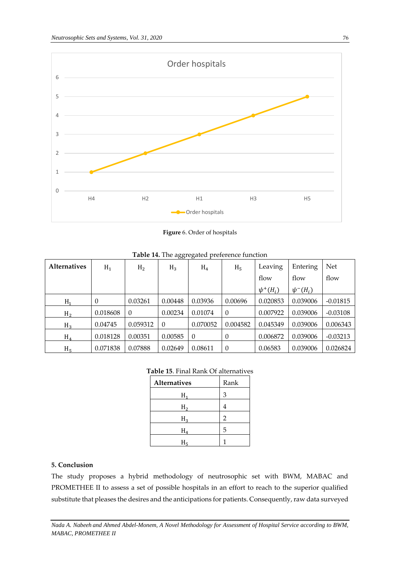

**Figure** 6. Order of hospitals

| <b>Alternatives</b> | $H_1$    | H <sub>2</sub> | OO.<br>$H_3$ | $\circ$<br>$H_4$ | H <sub>5</sub> | Leaving       | Entering      | <b>Net</b> |
|---------------------|----------|----------------|--------------|------------------|----------------|---------------|---------------|------------|
|                     |          |                |              |                  |                | flow          | flow          | flow       |
|                     |          |                |              |                  |                | $\psi^+(H_i)$ | $\psi^-(H_i)$ |            |
| $H_1$               | 0        | 0.03261        | 0.00448      | 0.03936          | 0.00696        | 0.020853      | 0.039006      | $-0.01815$ |
| H <sub>2</sub>      | 0.018608 | $\overline{0}$ | 0.00234      | 0.01074          | $\theta$       | 0.007922      | 0.039006      | $-0.03108$ |
| $H_3$               | 0.04745  | 0.059312       | $\Omega$     | 0.070052         | 0.004582       | 0.045349      | 0.039006      | 0.006343   |
| $H_4$               | 0.018128 | 0.00351        | 0.00585      | $\Omega$         | $\theta$       | 0.006872      | 0.039006      | $-0.03213$ |
| H <sub>5</sub>      | 0.071838 | 0.07888        | 0.02649      | 0.08611          | $\overline{0}$ | 0.06583       | 0.039006      | 0.026824   |

**Table 14.** The aggregated preference function

# **Table 15**. Final Rank Of alternatives

| Alternatives | Rank           |
|--------------|----------------|
| H,           | 3              |
| H,           | 4              |
| $H_3$        | $\overline{2}$ |
| $H_4$        | 5              |
| H.           | 1              |

# **5. Conclusion**

The study proposes a hybrid methodology of neutrosophic set with BWM, MABAC and PROMETHEE II to assess a set of possible hospitals in an effort to reach to the superior qualified substitute that pleases the desires and the anticipations for patients. Consequently, raw data surveyed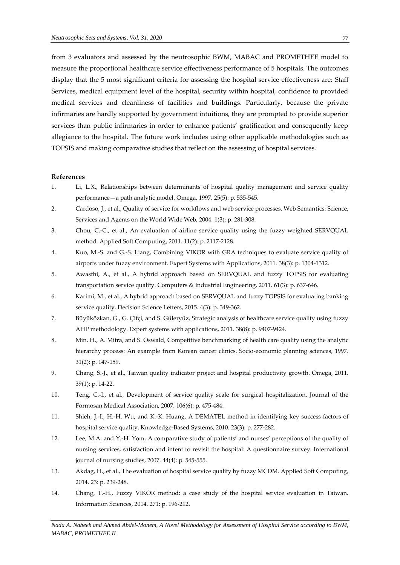from 3 evaluators and assessed by the neutrosophic BWM, MABAC and PROMETHEE model to measure the proportional healthcare service effectiveness performance of 5 hospitals. The outcomes display that the 5 most significant criteria for assessing the hospital service effectiveness are: Staff Services, medical equipment level of the hospital, security within hospital, confidence to provided medical services and cleanliness of facilities and buildings. Particularly, because the private infirmaries are hardly supported by government intuitions, they are prompted to provide superior services than public infirmaries in order to enhance patients' gratification and consequently keep allegiance to the hospital. The future work includes using other applicable methodologies such as TOPSIS and making comparative studies that reflect on the assessing of hospital services.

#### **References**

- 1. Li, L.X., Relationships between determinants of hospital quality management and service quality performance—a path analytic model. Omega, 1997. 25(5): p. 535-545.
- 2. Cardoso, J., et al., Quality of service for workflows and web service processes. Web Semantics: Science, Services and Agents on the World Wide Web, 2004. 1(3): p. 281-308.
- 3. Chou, C.-C., et al., An evaluation of airline service quality using the fuzzy weighted SERVQUAL method. Applied Soft Computing, 2011. 11(2): p. 2117-2128.
- 4. Kuo, M.-S. and G.-S. Liang, Combining VIKOR with GRA techniques to evaluate service quality of airports under fuzzy environment. Expert Systems with Applications, 2011. 38(3): p. 1304-1312.
- 5. Awasthi, A., et al., A hybrid approach based on SERVQUAL and fuzzy TOPSIS for evaluating transportation service quality. Computers & Industrial Engineering, 2011. 61(3): p. 637-646.
- 6. Karimi, M., et al., A hybrid approach based on SERVQUAL and fuzzy TOPSIS for evaluating banking service quality. Decision Science Letters, 2015. 4(3): p. 349-362.
- 7. Büyüközkan, G., G. Çifçi, and S. Güleryüz, Strategic analysis of healthcare service quality using fuzzy AHP methodology. Expert systems with applications, 2011. 38(8): p. 9407-9424.
- 8. Min, H., A. Mitra, and S. Oswald, Competitive benchmarking of health care quality using the analytic hierarchy process: An example from Korean cancer clinics. Socio-economic planning sciences, 1997. 31(2): p. 147-159.
- 9. Chang, S.-J., et al., Taiwan quality indicator project and hospital productivity growth. Omega, 2011. 39(1): p. 14-22.
- 10. Teng, C.-I., et al., Development of service quality scale for surgical hospitalization. Journal of the Formosan Medical Association, 2007. 106(6): p. 475-484.
- 11. Shieh, J.-I., H.-H. Wu, and K.-K. Huang, A DEMATEL method in identifying key success factors of hospital service quality. Knowledge-Based Systems, 2010. 23(3): p. 277-282.
- 12. Lee, M.A. and Y.-H. Yom, A comparative study of patients' and nurses' perceptions of the quality of nursing services, satisfaction and intent to revisit the hospital: A questionnaire survey. International journal of nursing studies, 2007. 44(4): p. 545-555.
- 13. Akdag, H., et al., The evaluation of hospital service quality by fuzzy MCDM. Applied Soft Computing, 2014. 23: p. 239-248.
- 14. Chang, T.-H., Fuzzy VIKOR method: a case study of the hospital service evaluation in Taiwan. Information Sciences, 2014. 271: p. 196-212.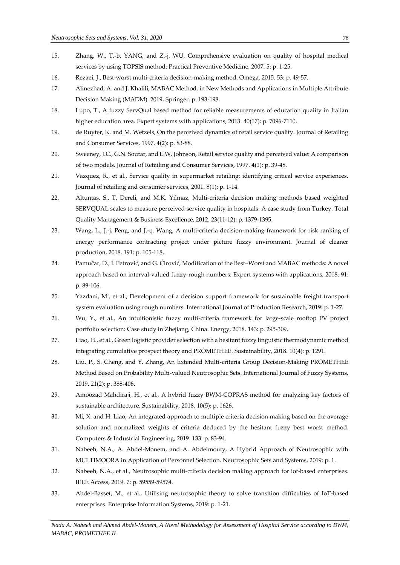- 15. Zhang, W., T.-b. YANG, and Z.-j. WU, Comprehensive evaluation on quality of hospital medical services by using TOPSIS method. Practical Preventive Medicine, 2007. 5: p. 1-25.
- 16. Rezaei, J., Best-worst multi-criteria decision-making method. Omega, 2015. 53: p. 49-57.
- 17. Alinezhad, A. and J. Khalili, MABAC Method, in New Methods and Applications in Multiple Attribute Decision Making (MADM). 2019, Springer. p. 193-198.
- 18. Lupo, T., A fuzzy ServQual based method for reliable measurements of education quality in Italian higher education area. Expert systems with applications, 2013. 40(17): p. 7096-7110.
- 19. de Ruyter, K. and M. Wetzels, On the perceived dynamics of retail service quality. Journal of Retailing and Consumer Services, 1997. 4(2): p. 83-88.
- 20. Sweeney, J.C., G.N. Soutar, and L.W. Johnson, Retail service quality and perceived value: A comparison of two models. Journal of Retailing and Consumer Services, 1997. 4(1): p. 39-48.
- 21. Vazquez, R., et al., Service quality in supermarket retailing: identifying critical service experiences. Journal of retailing and consumer services, 2001. 8(1): p. 1-14.
- 22. Altuntas, S., T. Dereli, and M.K. Yilmaz, Multi-criteria decision making methods based weighted SERVQUAL scales to measure perceived service quality in hospitals: A case study from Turkey. Total Quality Management & Business Excellence, 2012. 23(11-12): p. 1379-1395.
- 23. Wang, L., J.-j. Peng, and J.-q. Wang, A multi-criteria decision-making framework for risk ranking of energy performance contracting project under picture fuzzy environment. Journal of cleaner production, 2018. 191: p. 105-118.
- 24. Pamučar, D., I. Petrović, and G. Ćirović, Modification of the Best–Worst and MABAC methods: A novel approach based on interval-valued fuzzy-rough numbers. Expert systems with applications, 2018. 91: p. 89-106.
- 25. Yazdani, M., et al., Development of a decision support framework for sustainable freight transport system evaluation using rough numbers. International Journal of Production Research, 2019: p. 1-27.
- 26. Wu, Y., et al., An intuitionistic fuzzy multi-criteria framework for large-scale rooftop PV project portfolio selection: Case study in Zhejiang, China. Energy, 2018. 143: p. 295-309.
- 27. Liao, H., et al., Green logistic provider selection with a hesitant fuzzy linguistic thermodynamic method integrating cumulative prospect theory and PROMETHEE. Sustainability, 2018. 10(4): p. 1291.
- 28. Liu, P., S. Cheng, and Y. Zhang, An Extended Multi-criteria Group Decision-Making PROMETHEE Method Based on Probability Multi-valued Neutrosophic Sets. International Journal of Fuzzy Systems, 2019. 21(2): p. 388-406.
- 29. Amoozad Mahdiraji, H., et al., A hybrid fuzzy BWM-COPRAS method for analyzing key factors of sustainable architecture. Sustainability, 2018. 10(5): p. 1626.
- 30. Mi, X. and H. Liao, An integrated approach to multiple criteria decision making based on the average solution and normalized weights of criteria deduced by the hesitant fuzzy best worst method. Computers & Industrial Engineering, 2019. 133: p. 83-94.
- 31. Nabeeh, N.A., A. Abdel-Monem, and A. Abdelmouty, A Hybrid Approach of Neutrosophic with MULTIMOORA in Application of Personnel Selection. Neutrosophic Sets and Systems, 2019: p. 1.
- 32. Nabeeh, N.A., et al., Neutrosophic multi-criteria decision making approach for iot-based enterprises. IEEE Access, 2019. 7: p. 59559-59574.
- 33. Abdel-Basset, M., et al., Utilising neutrosophic theory to solve transition difficulties of IoT-based enterprises. Enterprise Information Systems, 2019: p. 1-21.